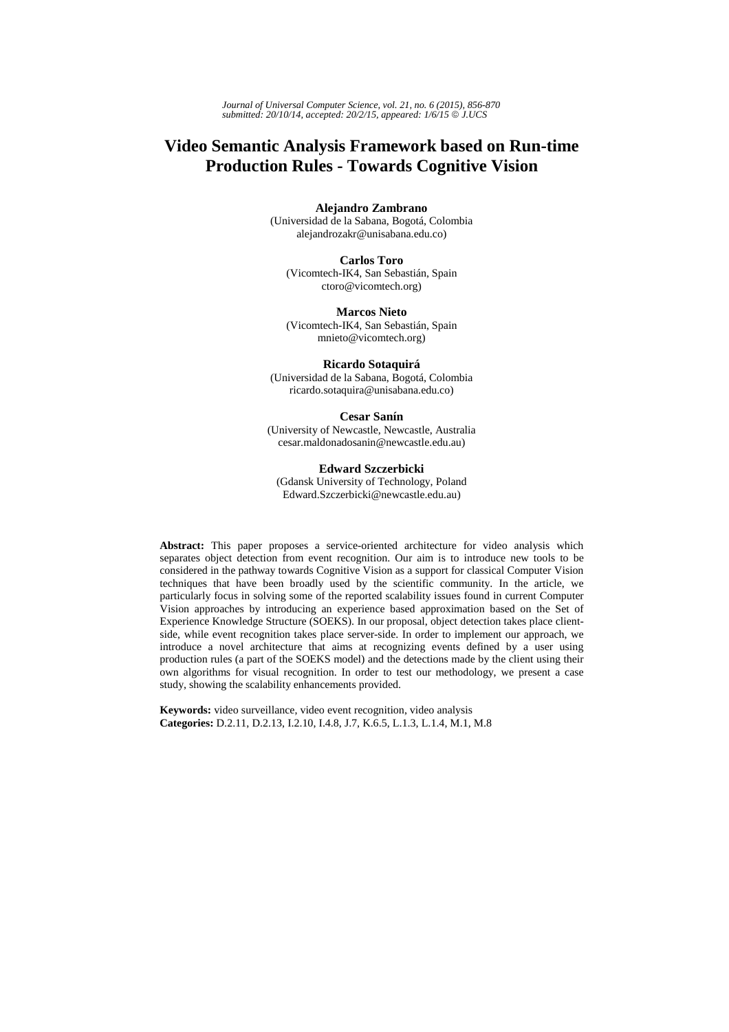# **Video Semantic Analysis Framework based on Run-time Production Rules - Towards Cognitive Vision**

**Alejandro Zambrano** 

(Universidad de la Sabana, Bogotá, Colombia alejandrozakr@unisabana.edu.co)

**Carlos Toro** (Vicomtech-IK4, San Sebastián, Spain ctoro@vicomtech.org)

**Marcos Nieto** (Vicomtech-IK4, San Sebastián, Spain mnieto@vicomtech.org)

## **Ricardo Sotaquirá**

(Universidad de la Sabana, Bogotá, Colombia ricardo.sotaquira@unisabana.edu.co)

#### **Cesar Sanín**

(University of Newcastle, Newcastle, Australia cesar.maldonadosanin@newcastle.edu.au)

## **Edward Szczerbicki**

(Gdansk University of Technology, Poland Edward.Szczerbicki@newcastle.edu.au)

**Abstract:** This paper proposes a service-oriented architecture for video analysis which separates object detection from event recognition. Our aim is to introduce new tools to be considered in the pathway towards Cognitive Vision as a support for classical Computer Vision techniques that have been broadly used by the scientific community. In the article, we particularly focus in solving some of the reported scalability issues found in current Computer Vision approaches by introducing an experience based approximation based on the Set of Experience Knowledge Structure (SOEKS). In our proposal, object detection takes place clientside, while event recognition takes place server-side. In order to implement our approach, we introduce a novel architecture that aims at recognizing events defined by a user using production rules (a part of the SOEKS model) and the detections made by the client using their own algorithms for visual recognition. In order to test our methodology, we present a case study, showing the scalability enhancements provided.

**Keywords:** video surveillance, video event recognition, video analysis **Categories:** D.2.11, D.2.13, I.2.10, I.4.8, J.7, K.6.5, L.1.3, L.1.4, M.1, M.8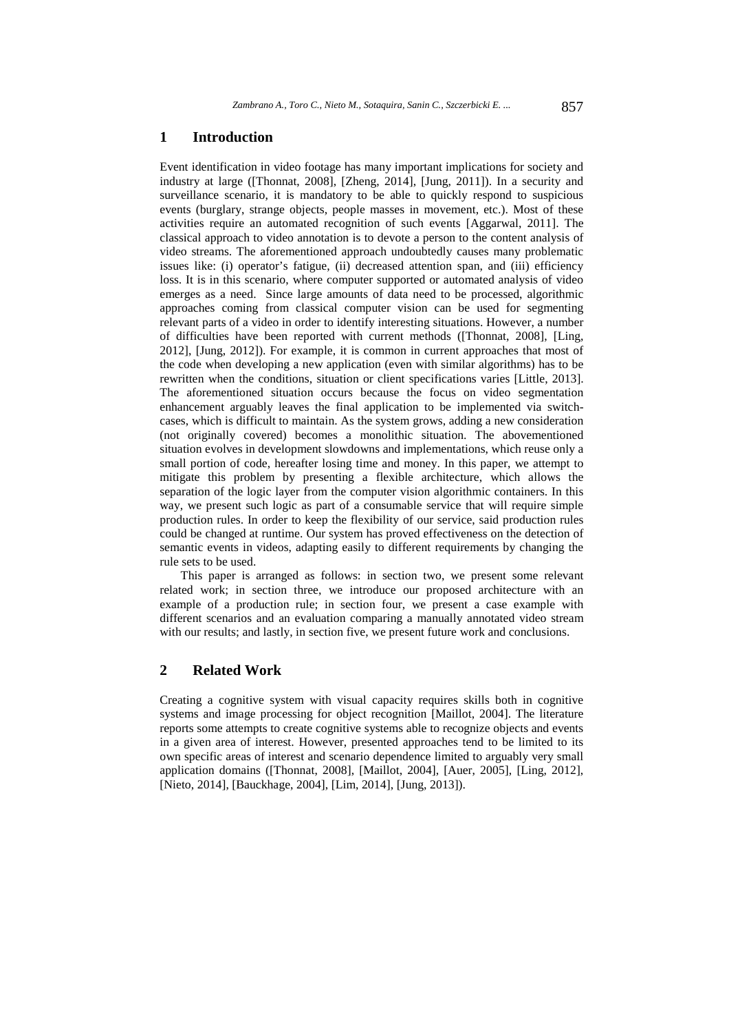## **1 Introduction**

Event identification in video footage has many important implications for society and industry at large ([Thonnat, 2008], [Zheng, 2014], [Jung, 2011]). In a security and surveillance scenario, it is mandatory to be able to quickly respond to suspicious events (burglary, strange objects, people masses in movement, etc.). Most of these activities require an automated recognition of such events [Aggarwal, 2011]. The classical approach to video annotation is to devote a person to the content analysis of video streams. The aforementioned approach undoubtedly causes many problematic issues like: (i) operator's fatigue, (ii) decreased attention span, and (iii) efficiency loss. It is in this scenario, where computer supported or automated analysis of video emerges as a need. Since large amounts of data need to be processed, algorithmic approaches coming from classical computer vision can be used for segmenting relevant parts of a video in order to identify interesting situations. However, a number of difficulties have been reported with current methods ([Thonnat, 2008], [Ling, 2012], [Jung, 2012]). For example, it is common in current approaches that most of the code when developing a new application (even with similar algorithms) has to be rewritten when the conditions, situation or client specifications varies [Little, 2013]. The aforementioned situation occurs because the focus on video segmentation enhancement arguably leaves the final application to be implemented via switchcases, which is difficult to maintain. As the system grows, adding a new consideration (not originally covered) becomes a monolithic situation. The abovementioned situation evolves in development slowdowns and implementations, which reuse only a small portion of code, hereafter losing time and money. In this paper, we attempt to mitigate this problem by presenting a flexible architecture, which allows the separation of the logic layer from the computer vision algorithmic containers. In this way, we present such logic as part of a consumable service that will require simple production rules. In order to keep the flexibility of our service, said production rules could be changed at runtime. Our system has proved effectiveness on the detection of semantic events in videos, adapting easily to different requirements by changing the rule sets to be used.

This paper is arranged as follows: in section two, we present some relevant related work; in section three, we introduce our proposed architecture with an example of a production rule; in section four, we present a case example with different scenarios and an evaluation comparing a manually annotated video stream with our results; and lastly, in section five, we present future work and conclusions.

## **2 Related Work**

Creating a cognitive system with visual capacity requires skills both in cognitive systems and image processing for object recognition [Maillot, 2004]. The literature reports some attempts to create cognitive systems able to recognize objects and events in a given area of interest. However, presented approaches tend to be limited to its own specific areas of interest and scenario dependence limited to arguably very small application domains ([Thonnat, 2008], [Maillot, 2004], [Auer, 2005], [Ling, 2012], [Nieto, 2014], [Bauckhage, 2004], [Lim, 2014], [Jung, 2013]).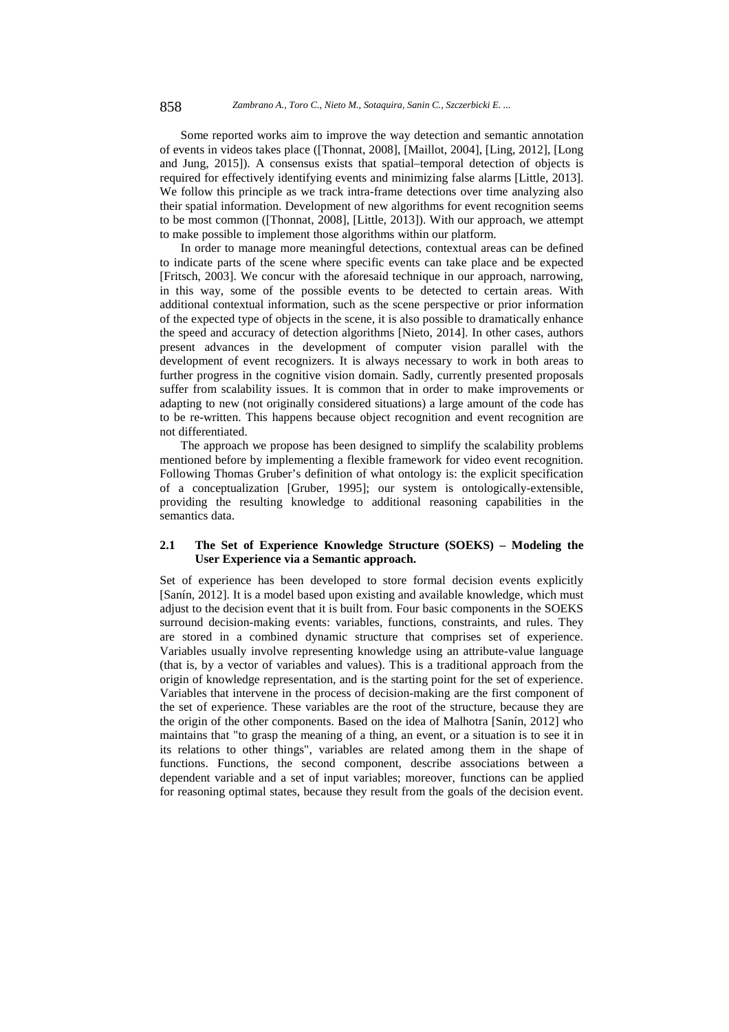Some reported works aim to improve the way detection and semantic annotation of events in videos takes place ([Thonnat, 2008], [Maillot, 2004], [Ling, 2012], [Long and Jung, 2015]). A consensus exists that spatial–temporal detection of objects is required for effectively identifying events and minimizing false alarms [Little, 2013]. We follow this principle as we track intra-frame detections over time analyzing also their spatial information. Development of new algorithms for event recognition seems to be most common ([Thonnat, 2008], [Little, 2013]). With our approach, we attempt to make possible to implement those algorithms within our platform.

In order to manage more meaningful detections, contextual areas can be defined to indicate parts of the scene where specific events can take place and be expected [Fritsch, 2003]. We concur with the aforesaid technique in our approach, narrowing, in this way, some of the possible events to be detected to certain areas. With additional contextual information, such as the scene perspective or prior information of the expected type of objects in the scene, it is also possible to dramatically enhance the speed and accuracy of detection algorithms [Nieto, 2014]. In other cases, authors present advances in the development of computer vision parallel with the development of event recognizers. It is always necessary to work in both areas to further progress in the cognitive vision domain. Sadly, currently presented proposals suffer from scalability issues. It is common that in order to make improvements or adapting to new (not originally considered situations) a large amount of the code has to be re-written. This happens because object recognition and event recognition are not differentiated.

The approach we propose has been designed to simplify the scalability problems mentioned before by implementing a flexible framework for video event recognition. Following Thomas Gruber's definition of what ontology is: the explicit specification of a conceptualization [Gruber, 1995]; our system is ontologically-extensible, providing the resulting knowledge to additional reasoning capabilities in the semantics data.

### **2.1 The Set of Experience Knowledge Structure (SOEKS) – Modeling the User Experience via a Semantic approach.**

Set of experience has been developed to store formal decision events explicitly [Sanín, 2012]. It is a model based upon existing and available knowledge, which must adjust to the decision event that it is built from. Four basic components in the SOEKS surround decision-making events: variables, functions, constraints, and rules. They are stored in a combined dynamic structure that comprises set of experience. Variables usually involve representing knowledge using an attribute-value language (that is, by a vector of variables and values). This is a traditional approach from the origin of knowledge representation, and is the starting point for the set of experience. Variables that intervene in the process of decision-making are the first component of the set of experience. These variables are the root of the structure, because they are the origin of the other components. Based on the idea of Malhotra [Sanín, 2012] who maintains that "to grasp the meaning of a thing, an event, or a situation is to see it in its relations to other things", variables are related among them in the shape of functions. Functions, the second component, describe associations between a dependent variable and a set of input variables; moreover, functions can be applied for reasoning optimal states, because they result from the goals of the decision event.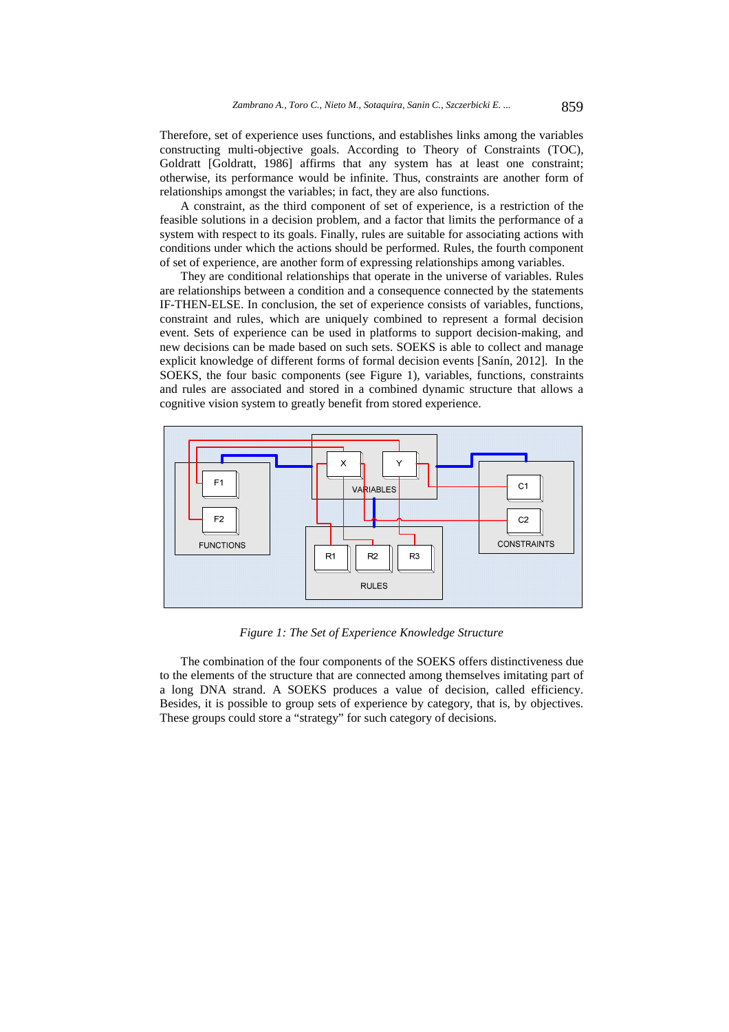Therefore, set of experience uses functions, and establishes links among the variables constructing multi-objective goals. According to Theory of Constraints (TOC), Goldratt [Goldratt, 1986] affirms that any system has at least one constraint; otherwise, its performance would be infinite. Thus, constraints are another form of relationships amongst the variables; in fact, they are also functions.

A constraint, as the third component of set of experience, is a restriction of the feasible solutions in a decision problem, and a factor that limits the performance of a system with respect to its goals. Finally, rules are suitable for associating actions with conditions under which the actions should be performed. Rules, the fourth component of set of experience, are another form of expressing relationships among variables.

They are conditional relationships that operate in the universe of variables. Rules are relationships between a condition and a consequence connected by the statements IF-THEN-ELSE. In conclusion, the set of experience consists of variables, functions, constraint and rules, which are uniquely combined to represent a formal decision event. Sets of experience can be used in platforms to support decision-making, and new decisions can be made based on such sets. SOEKS is able to collect and manage explicit knowledge of different forms of formal decision events [Sanín, 2012]. In the SOEKS, the four basic components (see Figure 1), variables, functions, constraints and rules are associated and stored in a combined dynamic structure that allows a cognitive vision system to greatly benefit from stored experience.



*Figure 1: The Set of Experience Knowledge Structure* 

The combination of the four components of the SOEKS offers distinctiveness due to the elements of the structure that are connected among themselves imitating part of a long DNA strand. A SOEKS produces a value of decision, called efficiency. Besides, it is possible to group sets of experience by category, that is, by objectives. These groups could store a "strategy" for such category of decisions.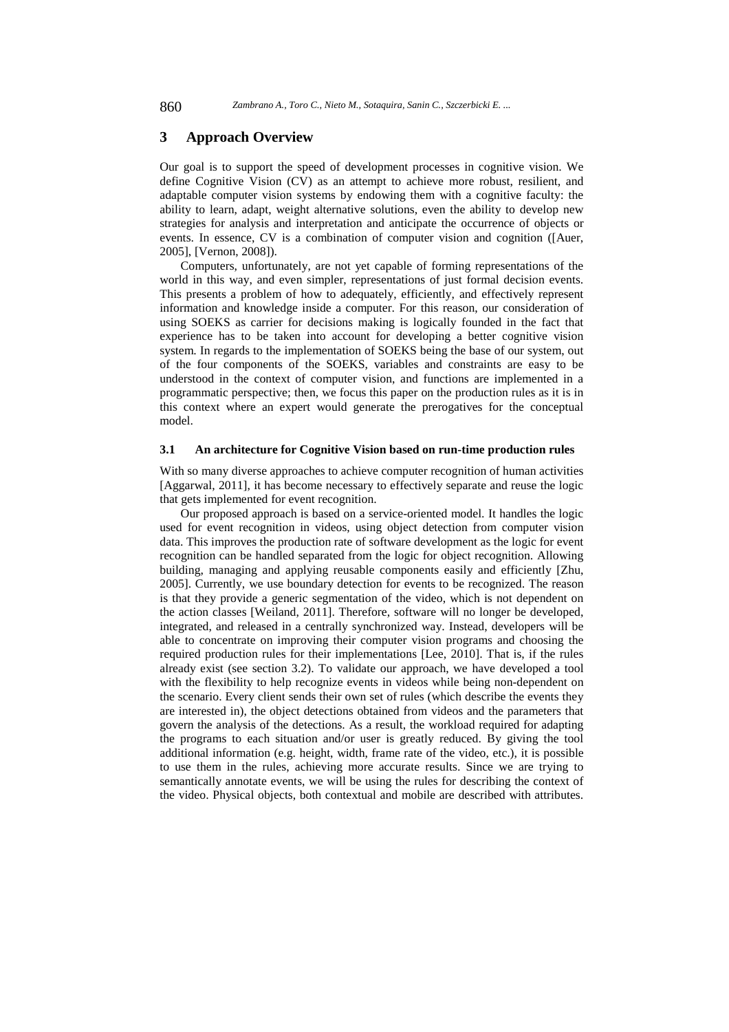## **3 Approach Overview**

Our goal is to support the speed of development processes in cognitive vision. We define Cognitive Vision (CV) as an attempt to achieve more robust, resilient, and adaptable computer vision systems by endowing them with a cognitive faculty: the ability to learn, adapt, weight alternative solutions, even the ability to develop new strategies for analysis and interpretation and anticipate the occurrence of objects or events. In essence, CV is a combination of computer vision and cognition ([Auer, 2005], [Vernon, 2008]).

Computers, unfortunately, are not yet capable of forming representations of the world in this way, and even simpler, representations of just formal decision events. This presents a problem of how to adequately, efficiently, and effectively represent information and knowledge inside a computer. For this reason, our consideration of using SOEKS as carrier for decisions making is logically founded in the fact that experience has to be taken into account for developing a better cognitive vision system. In regards to the implementation of SOEKS being the base of our system, out of the four components of the SOEKS, variables and constraints are easy to be understood in the context of computer vision, and functions are implemented in a programmatic perspective; then, we focus this paper on the production rules as it is in this context where an expert would generate the prerogatives for the conceptual model.

#### **3.1 An architecture for Cognitive Vision based on run-time production rules**

With so many diverse approaches to achieve computer recognition of human activities [Aggarwal, 2011], it has become necessary to effectively separate and reuse the logic that gets implemented for event recognition.

Our proposed approach is based on a service-oriented model. It handles the logic used for event recognition in videos, using object detection from computer vision data. This improves the production rate of software development as the logic for event recognition can be handled separated from the logic for object recognition. Allowing building, managing and applying reusable components easily and efficiently [Zhu, 2005]. Currently, we use boundary detection for events to be recognized. The reason is that they provide a generic segmentation of the video, which is not dependent on the action classes [Weiland, 2011]. Therefore, software will no longer be developed, integrated, and released in a centrally synchronized way. Instead, developers will be able to concentrate on improving their computer vision programs and choosing the required production rules for their implementations [Lee, 2010]. That is, if the rules already exist (see section 3.2). To validate our approach, we have developed a tool with the flexibility to help recognize events in videos while being non-dependent on the scenario. Every client sends their own set of rules (which describe the events they are interested in), the object detections obtained from videos and the parameters that govern the analysis of the detections. As a result, the workload required for adapting the programs to each situation and/or user is greatly reduced. By giving the tool additional information (e.g. height, width, frame rate of the video, etc.), it is possible to use them in the rules, achieving more accurate results. Since we are trying to semantically annotate events, we will be using the rules for describing the context of the video. Physical objects, both contextual and mobile are described with attributes.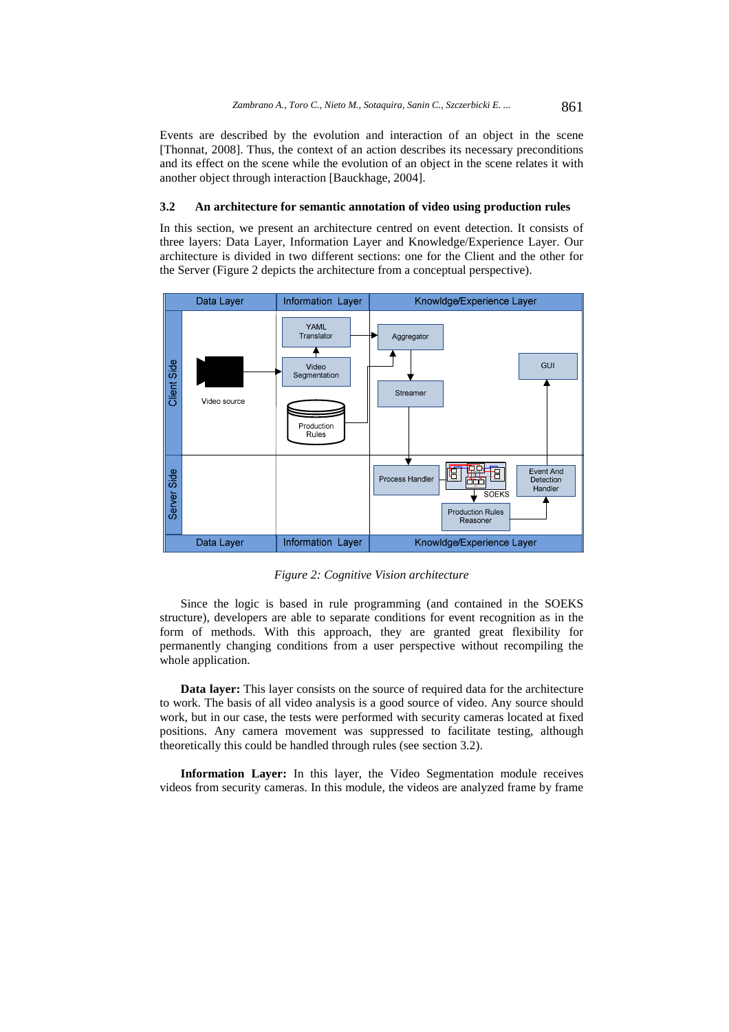Events are described by the evolution and interaction of an object in the scene [Thonnat, 2008]. Thus, the context of an action describes its necessary preconditions and its effect on the scene while the evolution of an object in the scene relates it with another object through interaction [Bauckhage, 2004].

#### **3.2 An architecture for semantic annotation of video using production rules**

In this section, we present an architecture centred on event detection. It consists of three layers: Data Layer, Information Layer and Knowledge/Experience Layer. Our architecture is divided in two different sections: one for the Client and the other for the Server (Figure 2 depicts the architecture from a conceptual perspective).



*Figure 2: Cognitive Vision architecture* 

Since the logic is based in rule programming (and contained in the SOEKS structure), developers are able to separate conditions for event recognition as in the form of methods. With this approach, they are granted great flexibility for permanently changing conditions from a user perspective without recompiling the whole application.

**Data layer:** This layer consists on the source of required data for the architecture to work. The basis of all video analysis is a good source of video. Any source should work, but in our case, the tests were performed with security cameras located at fixed positions. Any camera movement was suppressed to facilitate testing, although theoretically this could be handled through rules (see section 3.2).

**Information Layer:** In this layer, the Video Segmentation module receives videos from security cameras. In this module, the videos are analyzed frame by frame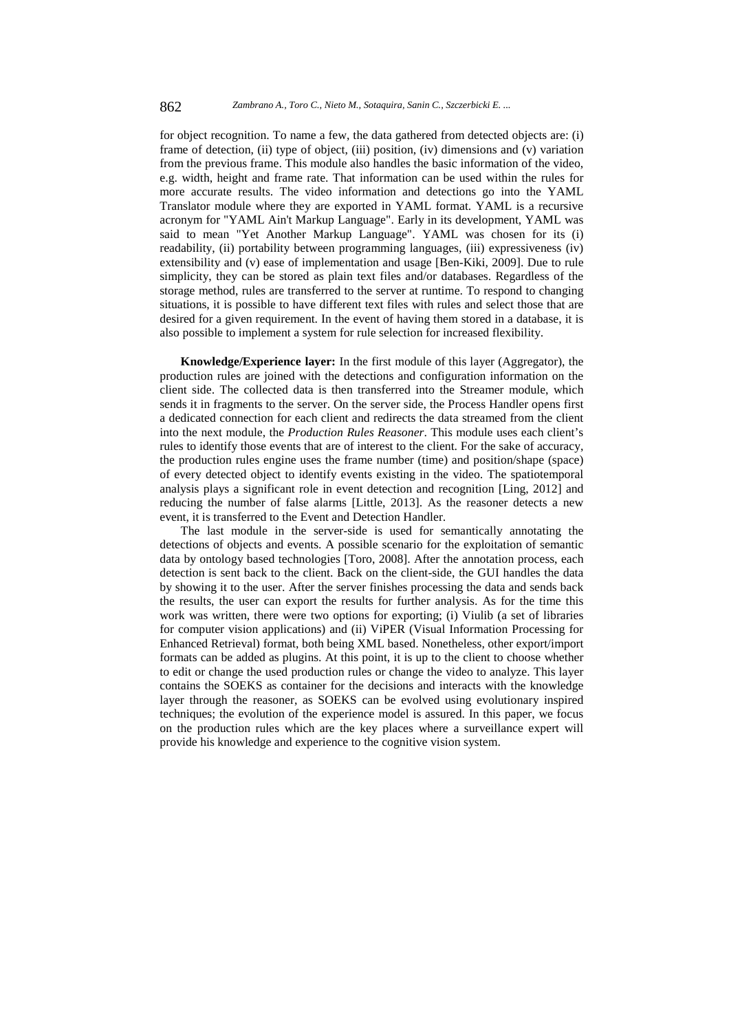for object recognition. To name a few, the data gathered from detected objects are: (i) frame of detection, (ii) type of object, (iii) position, (iv) dimensions and (v) variation from the previous frame. This module also handles the basic information of the video, e.g. width, height and frame rate. That information can be used within the rules for more accurate results. The video information and detections go into the YAML Translator module where they are exported in YAML format. YAML is a recursive acronym for "YAML Ain't Markup Language". Early in its development, YAML was said to mean "Yet Another Markup Language". YAML was chosen for its (i) readability, (ii) portability between programming languages, (iii) expressiveness (iv) extensibility and (v) ease of implementation and usage [Ben-Kiki, 2009]. Due to rule simplicity, they can be stored as plain text files and/or databases. Regardless of the storage method, rules are transferred to the server at runtime. To respond to changing situations, it is possible to have different text files with rules and select those that are desired for a given requirement. In the event of having them stored in a database, it is also possible to implement a system for rule selection for increased flexibility.

**Knowledge/Experience layer:** In the first module of this layer (Aggregator), the production rules are joined with the detections and configuration information on the client side. The collected data is then transferred into the Streamer module, which sends it in fragments to the server. On the server side, the Process Handler opens first a dedicated connection for each client and redirects the data streamed from the client into the next module, the *Production Rules Reasoner*. This module uses each client's rules to identify those events that are of interest to the client. For the sake of accuracy, the production rules engine uses the frame number (time) and position/shape (space) of every detected object to identify events existing in the video. The spatiotemporal analysis plays a significant role in event detection and recognition [Ling, 2012] and reducing the number of false alarms [Little, 2013]. As the reasoner detects a new event, it is transferred to the Event and Detection Handler.

The last module in the server-side is used for semantically annotating the detections of objects and events. A possible scenario for the exploitation of semantic data by ontology based technologies [Toro, 2008]. After the annotation process, each detection is sent back to the client. Back on the client-side, the GUI handles the data by showing it to the user. After the server finishes processing the data and sends back the results, the user can export the results for further analysis. As for the time this work was written, there were two options for exporting; (i) Viulib (a set of libraries for computer vision applications) and (ii) ViPER (Visual Information Processing for Enhanced Retrieval) format, both being XML based. Nonetheless, other export/import formats can be added as plugins. At this point, it is up to the client to choose whether to edit or change the used production rules or change the video to analyze. This layer contains the SOEKS as container for the decisions and interacts with the knowledge layer through the reasoner, as SOEKS can be evolved using evolutionary inspired techniques; the evolution of the experience model is assured. In this paper, we focus on the production rules which are the key places where a surveillance expert will provide his knowledge and experience to the cognitive vision system.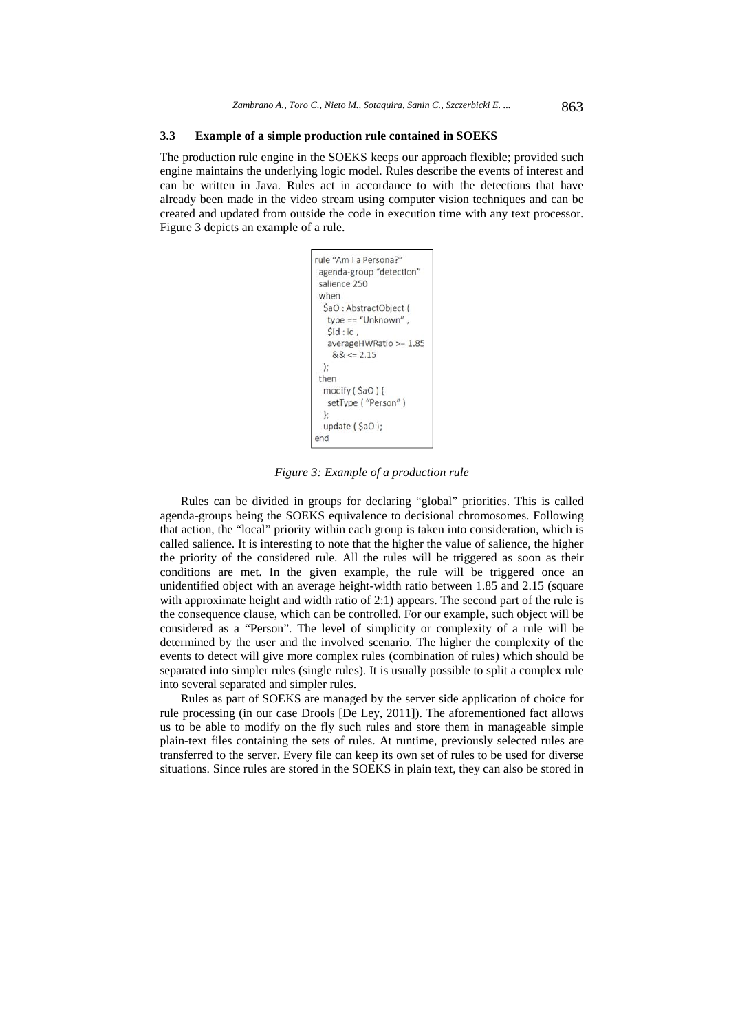## **3.3 Example of a simple production rule contained in SOEKS**

The production rule engine in the SOEKS keeps our approach flexible; provided such engine maintains the underlying logic model. Rules describe the events of interest and can be written in Java. Rules act in accordance to with the detections that have already been made in the video stream using computer vision techniques and can be created and updated from outside the code in execution time with any text processor. Figure 3 depicts an example of a rule.

```
rule "Am La Persona?"
agenda-group "detection"
salience 250
when
 $aO : AbstractObiect (
  type == "Unknown".
   Sid:id.
   averageHWRatio >= 1.85
    &&=& 2.15\mathbf{E}then
 modify ($aO) {
  setType ("Person")
 \mathcal{E}update ($aO);
end
```
*Figure 3: Example of a production rule* 

Rules can be divided in groups for declaring "global" priorities. This is called agenda-groups being the SOEKS equivalence to decisional chromosomes. Following that action, the "local" priority within each group is taken into consideration, which is called salience. It is interesting to note that the higher the value of salience, the higher the priority of the considered rule. All the rules will be triggered as soon as their conditions are met. In the given example, the rule will be triggered once an unidentified object with an average height-width ratio between 1.85 and 2.15 (square with approximate height and width ratio of 2:1) appears. The second part of the rule is the consequence clause, which can be controlled. For our example, such object will be considered as a "Person". The level of simplicity or complexity of a rule will be determined by the user and the involved scenario. The higher the complexity of the events to detect will give more complex rules (combination of rules) which should be separated into simpler rules (single rules). It is usually possible to split a complex rule into several separated and simpler rules.

Rules as part of SOEKS are managed by the server side application of choice for rule processing (in our case Drools [De Ley, 2011]). The aforementioned fact allows us to be able to modify on the fly such rules and store them in manageable simple plain-text files containing the sets of rules. At runtime, previously selected rules are transferred to the server. Every file can keep its own set of rules to be used for diverse situations. Since rules are stored in the SOEKS in plain text, they can also be stored in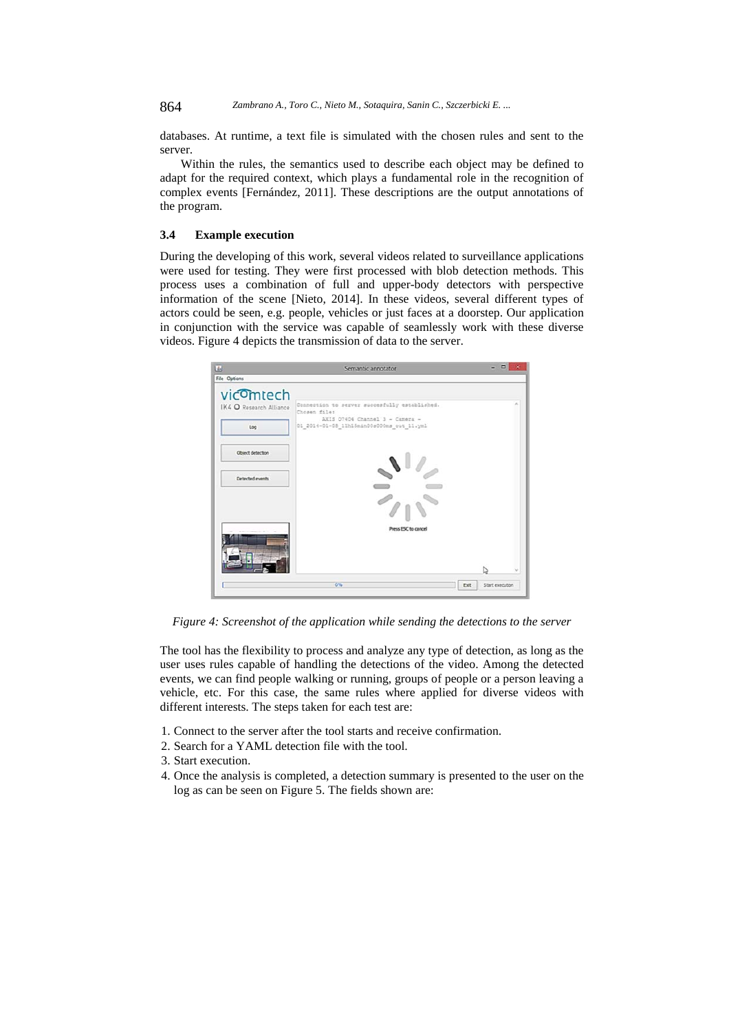864 *Zambrano A., Toro C., Nieto M., Sotaquira, Sanin C., Szczerbicki E. ...*

databases. At runtime, a text file is simulated with the chosen rules and sent to the server.

Within the rules, the semantics used to describe each object may be defined to adapt for the required context, which plays a fundamental role in the recognition of complex events [Fernández, 2011]. These descriptions are the output annotations of the program.

## **3.4 Example execution**

During the developing of this work, several videos related to surveillance applications were used for testing. They were first processed with blob detection methods. This process uses a combination of full and upper-body detectors with perspective information of the scene [Nieto, 2014]. In these videos, several different types of actors could be seen, e.g. people, vehicles or just faces at a doorstep. Our application in conjunction with the service was capable of seamlessly work with these diverse videos. Figure 4 depicts the transmission of data to the server.



*Figure 4: Screenshot of the application while sending the detections to the server* 

The tool has the flexibility to process and analyze any type of detection, as long as the user uses rules capable of handling the detections of the video. Among the detected events, we can find people walking or running, groups of people or a person leaving a vehicle, etc. For this case, the same rules where applied for diverse videos with different interests. The steps taken for each test are:

- 1. Connect to the server after the tool starts and receive confirmation.
- 2. Search for a YAML detection file with the tool.
- 3. Start execution.
- 4. Once the analysis is completed, a detection summary is presented to the user on the log as can be seen on Figure 5. The fields shown are: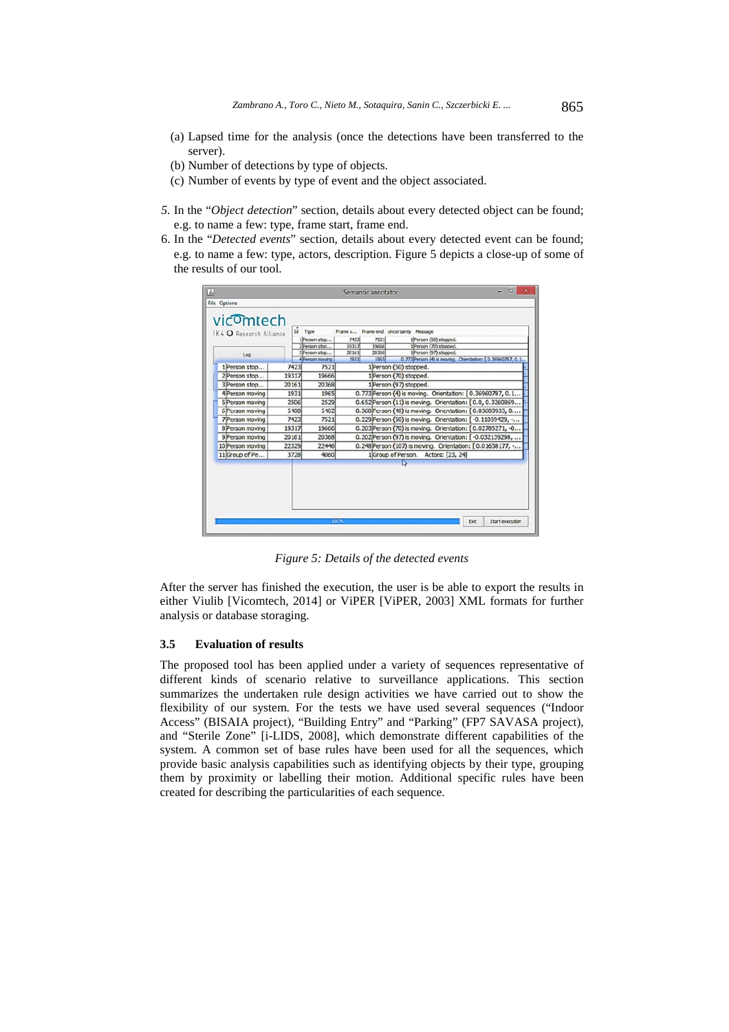- (a) Lapsed time for the analysis (once the detections have been transferred to the server).
- (b) Number of detections by type of objects.
- (c) Number of events by type of event and the object associated.
- *5.* In the "*Object detection*" section, details about every detected object can be found; e.g. to name a few: type, frame start, frame end.
- 6. In the "*Detected events*" section, details about every detected event can be found; e.g. to name a few: type, actors, description. Figure 5 depicts a close-up of some of the results of our tool.

| IK4 O Research Alliance<br>Log |       | 1d Type<br>1)Person stop<br>2 Person stop<br>3 Person stop | 7423<br>19317<br>20161                                    | 7521<br>19666<br>20368                                    | Frame s Frame end Uncertainty Message<br>1 Person (50) stopped.<br>1 Person (70) stopped.<br>1 Person (97) stopped. |  |  |
|--------------------------------|-------|------------------------------------------------------------|-----------------------------------------------------------|-----------------------------------------------------------|---------------------------------------------------------------------------------------------------------------------|--|--|
|                                |       | 4 Person moving                                            | 1931                                                      | 1965                                                      | 0.773 Person (4) is moving. Orientation: [0.36960787, 0.1.                                                          |  |  |
| 1 Person stop                  | 7423  | 7521                                                       |                                                           |                                                           | 1 Person (50) stopped.                                                                                              |  |  |
| 2 Person stop                  | 19317 | 19666                                                      |                                                           | 1 Person (70) stopped.                                    |                                                                                                                     |  |  |
| 3 Person stop                  | 20161 | 20368                                                      | 1 Person (97) stopped.                                    |                                                           |                                                                                                                     |  |  |
| 4 Person moving                | 1931  | 1965                                                       |                                                           | 0.773 Person (4) is moving. Orientation: [0.36960787, 0.1 |                                                                                                                     |  |  |
| 5 Person moving                | 2506  | 2529                                                       |                                                           |                                                           | 0.652 Person (11) is moving. Orientation: [0.0, 0.3260869                                                           |  |  |
| 6 Person moving                | 5400  | 5482                                                       |                                                           |                                                           | 0.368 Person (40) is moving. Orientation: [0.03603933, 0                                                            |  |  |
| <b>7</b> Person moving         | 7423  | 7521                                                       |                                                           |                                                           | 0.229 Person (50) is moving. Orientation: [-0.11059429, -                                                           |  |  |
| 8 Person moving                | 19317 | 19666                                                      |                                                           | 0.203 Person (70) is moving. Orientation: [0.02785271, -0 |                                                                                                                     |  |  |
| 9 Person moving                | 20161 | 20368                                                      |                                                           | 0.202 Person (97) is moving. Orientation: [-0.032139298,  |                                                                                                                     |  |  |
| 10 Person moving               | 22329 | 22446                                                      | 0.248 Person (107) is moving. Orientation: [0.01638177, - |                                                           |                                                                                                                     |  |  |
| 11 Group of Pe                 | 3728  | 4060                                                       | 1 Group of Person. Actors: [23, 24]                       |                                                           |                                                                                                                     |  |  |
|                                |       |                                                            |                                                           |                                                           |                                                                                                                     |  |  |
|                                |       |                                                            |                                                           |                                                           |                                                                                                                     |  |  |

*Figure 5: Details of the detected events* 

After the server has finished the execution, the user is be able to export the results in either Viulib [Vicomtech, 2014] or ViPER [ViPER, 2003] XML formats for further analysis or database storaging.

## **3.5 Evaluation of results**

The proposed tool has been applied under a variety of sequences representative of different kinds of scenario relative to surveillance applications. This section summarizes the undertaken rule design activities we have carried out to show the flexibility of our system. For the tests we have used several sequences ("Indoor Access" (BISAIA project), "Building Entry" and "Parking" (FP7 SAVASA project), and "Sterile Zone" [i-LIDS, 2008], which demonstrate different capabilities of the system. A common set of base rules have been used for all the sequences, which provide basic analysis capabilities such as identifying objects by their type, grouping them by proximity or labelling their motion. Additional specific rules have been created for describing the particularities of each sequence.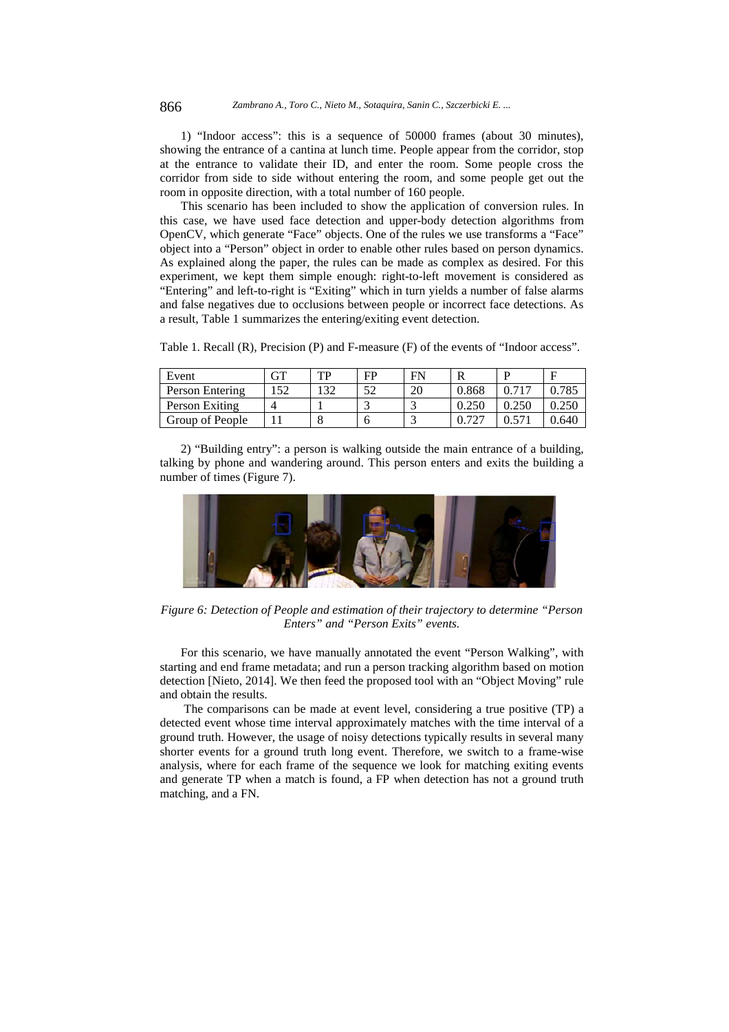1) "Indoor access": this is a sequence of 50000 frames (about 30 minutes), showing the entrance of a cantina at lunch time. People appear from the corridor, stop at the entrance to validate their ID, and enter the room. Some people cross the corridor from side to side without entering the room, and some people get out the room in opposite direction, with a total number of 160 people.

This scenario has been included to show the application of conversion rules. In this case, we have used face detection and upper-body detection algorithms from OpenCV, which generate "Face" objects. One of the rules we use transforms a "Face" object into a "Person" object in order to enable other rules based on person dynamics. As explained along the paper, the rules can be made as complex as desired. For this experiment, we kept them simple enough: right-to-left movement is considered as "Entering" and left-to-right is "Exiting" which in turn yields a number of false alarms and false negatives due to occlusions between people or incorrect face detections. As a result, Table 1 summarizes the entering/exiting event detection.

Table 1. Recall (R), Precision (P) and F-measure (F) of the events of "Indoor access".

| Event           | GT | TР  | FP | FN |       |       |       |
|-----------------|----|-----|----|----|-------|-------|-------|
| Person Entering | 52 | .32 | 52 | 20 | 0.868 | 0.717 | 0.785 |
| Person Exiting  |    |     |    |    | 0.250 | .250  |       |
| Group of People |    |     | n  |    | 727   |       | 0.640 |

2) "Building entry": a person is walking outside the main entrance of a building, talking by phone and wandering around. This person enters and exits the building a number of times (Figure 7).



*Figure 6: Detection of People and estimation of their trajectory to determine "Person Enters" and "Person Exits" events.* 

For this scenario, we have manually annotated the event "Person Walking", with starting and end frame metadata; and run a person tracking algorithm based on motion detection [Nieto, 2014]. We then feed the proposed tool with an "Object Moving" rule and obtain the results.

 The comparisons can be made at event level, considering a true positive (TP) a detected event whose time interval approximately matches with the time interval of a ground truth. However, the usage of noisy detections typically results in several many shorter events for a ground truth long event. Therefore, we switch to a frame-wise analysis, where for each frame of the sequence we look for matching exiting events and generate TP when a match is found, a FP when detection has not a ground truth matching, and a FN.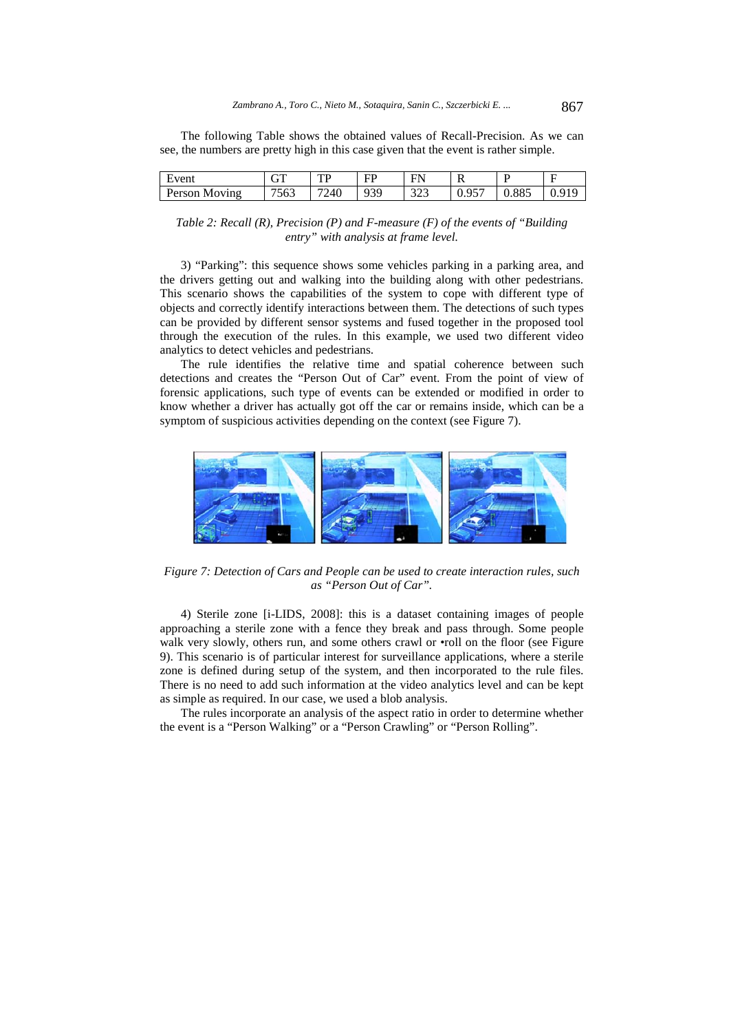The following Table shows the obtained values of Recall-Precision. As we can see, the numbers are pretty high in this case given that the event is rather simple.

| vent<br><u>. </u>            | $\sqrt{\pi}$<br>$\mathbf{v}$<br>u i | TD<br>. . | $\overline{\phantom{m}}$<br>нυ | EN<br>.     | ĸ                  |              | - |
|------------------------------|-------------------------------------|-----------|--------------------------------|-------------|--------------------|--------------|---|
| Person<br><b>Moving</b><br>M | 750<br><u>эрэ</u>                   | 7240      | 939                            | 22<br>ر ے ر | 057<br><b>U.YJ</b> | 005<br>U.OOJ |   |

*Table 2: Recall (R), Precision (P) and F-measure (F) of the events of "Building entry" with analysis at frame level.* 

3) "Parking": this sequence shows some vehicles parking in a parking area, and the drivers getting out and walking into the building along with other pedestrians. This scenario shows the capabilities of the system to cope with different type of objects and correctly identify interactions between them. The detections of such types can be provided by different sensor systems and fused together in the proposed tool through the execution of the rules. In this example, we used two different video analytics to detect vehicles and pedestrians.

The rule identifies the relative time and spatial coherence between such detections and creates the "Person Out of Car" event. From the point of view of forensic applications, such type of events can be extended or modified in order to know whether a driver has actually got off the car or remains inside, which can be a symptom of suspicious activities depending on the context (see Figure 7).



*Figure 7: Detection of Cars and People can be used to create interaction rules, such as "Person Out of Car".* 

4) Sterile zone [i-LIDS, 2008]: this is a dataset containing images of people approaching a sterile zone with a fence they break and pass through. Some people walk very slowly, others run, and some others crawl or •roll on the floor (see Figure 9). This scenario is of particular interest for surveillance applications, where a sterile zone is defined during setup of the system, and then incorporated to the rule files. There is no need to add such information at the video analytics level and can be kept as simple as required. In our case, we used a blob analysis.

The rules incorporate an analysis of the aspect ratio in order to determine whether the event is a "Person Walking" or a "Person Crawling" or "Person Rolling".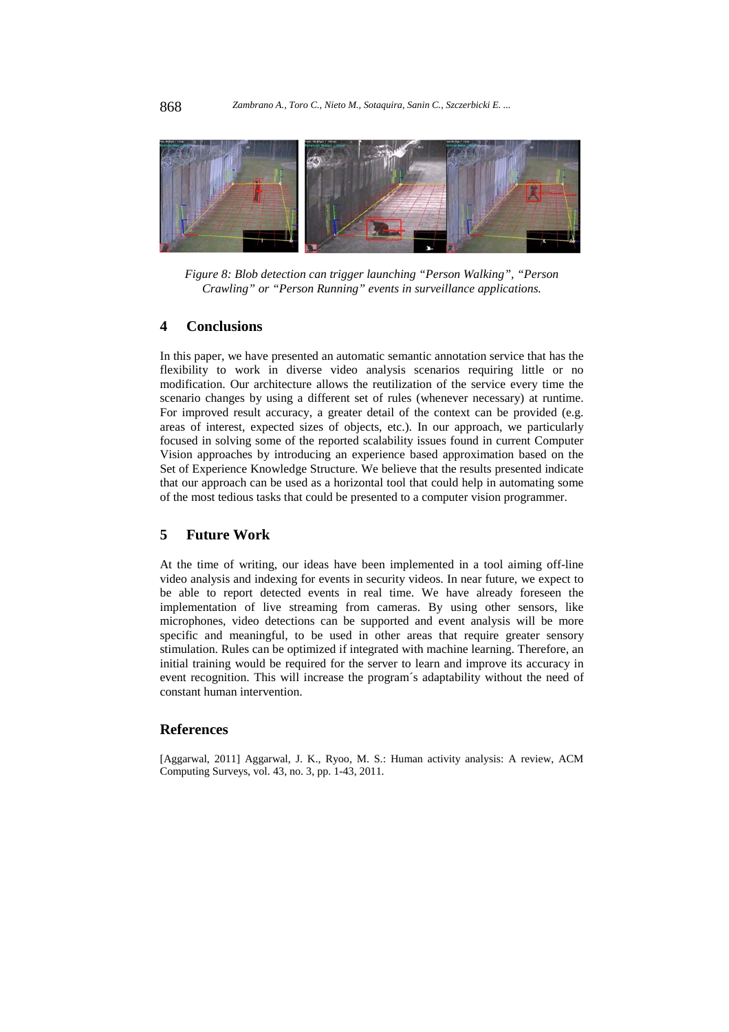

*Figure 8: Blob detection can trigger launching "Person Walking", "Person Crawling" or "Person Running" events in surveillance applications.* 

#### **4 Conclusions**

In this paper, we have presented an automatic semantic annotation service that has the flexibility to work in diverse video analysis scenarios requiring little or no modification. Our architecture allows the reutilization of the service every time the scenario changes by using a different set of rules (whenever necessary) at runtime. For improved result accuracy, a greater detail of the context can be provided (e.g. areas of interest, expected sizes of objects, etc.). In our approach, we particularly focused in solving some of the reported scalability issues found in current Computer Vision approaches by introducing an experience based approximation based on the Set of Experience Knowledge Structure. We believe that the results presented indicate that our approach can be used as a horizontal tool that could help in automating some of the most tedious tasks that could be presented to a computer vision programmer.

## **5 Future Work**

At the time of writing, our ideas have been implemented in a tool aiming off-line video analysis and indexing for events in security videos. In near future, we expect to be able to report detected events in real time. We have already foreseen the implementation of live streaming from cameras. By using other sensors, like microphones, video detections can be supported and event analysis will be more specific and meaningful, to be used in other areas that require greater sensory stimulation. Rules can be optimized if integrated with machine learning. Therefore, an initial training would be required for the server to learn and improve its accuracy in event recognition. This will increase the program´s adaptability without the need of constant human intervention.

## **References**

[Aggarwal, 2011] Aggarwal, J. K., Ryoo, M. S.: Human activity analysis: A review, ACM Computing Surveys, vol. 43, no. 3, pp. 1-43, 2011.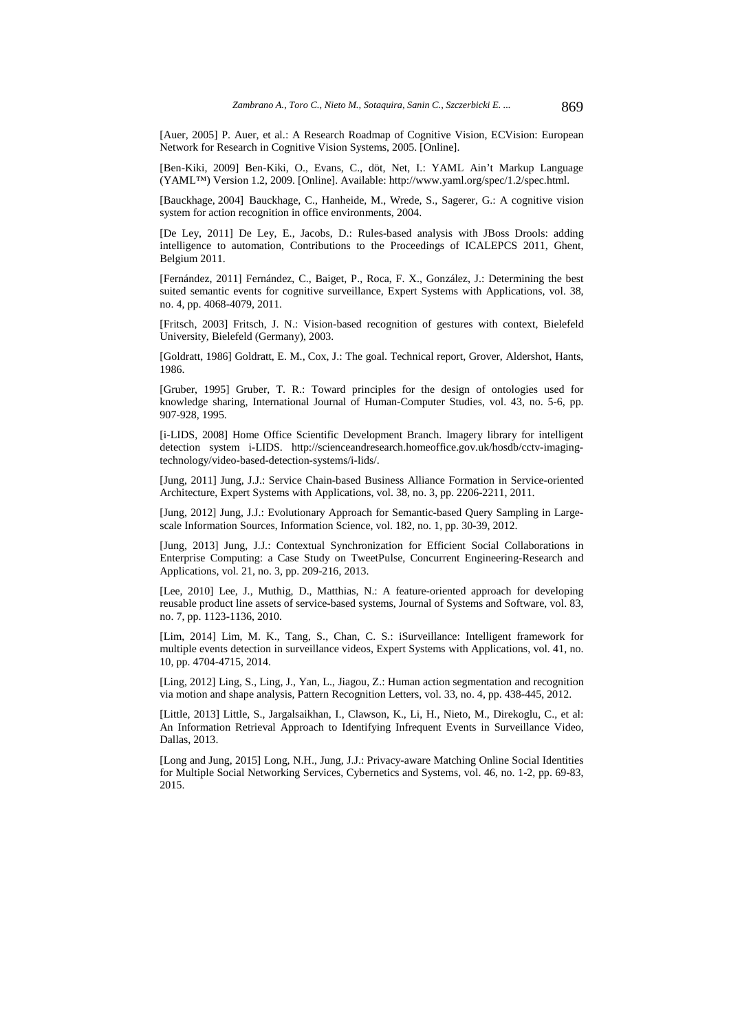[Auer, 2005] P. Auer, et al.: A Research Roadmap of Cognitive Vision, ECVision: European Network for Research in Cognitive Vision Systems, 2005. [Online].

[Ben-Kiki, 2009] Ben-Kiki, O., Evans, C., döt, Net, I.: YAML Ain't Markup Language (YAML™) Version 1.2, 2009. [Online]. Available: http://www.yaml.org/spec/1.2/spec.html.

[Bauckhage, 2004] Bauckhage, C., Hanheide, M., Wrede, S., Sagerer, G.: A cognitive vision system for action recognition in office environments, 2004.

[De Ley, 2011] De Ley, E., Jacobs, D.: Rules-based analysis with JBoss Drools: adding intelligence to automation, Contributions to the Proceedings of ICALEPCS 2011, Ghent, Belgium 2011.

[Fernández, 2011] Fernández, C., Baiget, P., Roca, F. X., González, J.: Determining the best suited semantic events for cognitive surveillance, Expert Systems with Applications, vol. 38, no. 4, pp. 4068-4079, 2011.

[Fritsch, 2003] Fritsch, J. N.: Vision-based recognition of gestures with context, Bielefeld University, Bielefeld (Germany), 2003.

[Goldratt, 1986] Goldratt, E. M., Cox, J.: The goal. Technical report, Grover, Aldershot, Hants, 1986.

[Gruber, 1995] Gruber, T. R.: Toward principles for the design of ontologies used for knowledge sharing, International Journal of Human-Computer Studies, vol. 43, no. 5-6, pp. 907-928, 1995.

[i-LIDS, 2008] Home Office Scientific Development Branch. Imagery library for intelligent detection system i-LIDS. http://scienceandresearch.homeoffice.gov.uk/hosdb/cctv-imagingtechnology/video-based-detection-systems/i-lids/.

[Jung, 2011] Jung, J.J.: Service Chain-based Business Alliance Formation in Service-oriented Architecture, Expert Systems with Applications, vol. 38, no. 3, pp. 2206-2211, 2011.

[Jung, 2012] Jung, J.J.: Evolutionary Approach for Semantic-based Query Sampling in Largescale Information Sources, Information Science, vol. 182, no. 1, pp. 30-39, 2012.

[Jung, 2013] Jung, J.J.: Contextual Synchronization for Efficient Social Collaborations in Enterprise Computing: a Case Study on TweetPulse, Concurrent Engineering-Research and Applications, vol. 21, no. 3, pp. 209-216, 2013.

[Lee, 2010] Lee, J., Muthig, D., Matthias, N.: A feature-oriented approach for developing reusable product line assets of service-based systems, Journal of Systems and Software, vol. 83, no. 7, pp. 1123-1136, 2010.

[Lim, 2014] Lim, M. K., Tang, S., Chan, C. S.: iSurveillance: Intelligent framework for multiple events detection in surveillance videos, Expert Systems with Applications, vol. 41, no. 10, pp. 4704-4715, 2014.

[Ling, 2012] Ling, S., Ling, J., Yan, L., Jiagou, Z.: Human action segmentation and recognition via motion and shape analysis, Pattern Recognition Letters, vol. 33, no. 4, pp. 438-445, 2012.

[Little, 2013] Little, S., Jargalsaikhan, I., Clawson, K., Li, H., Nieto, M., Direkoglu, C., et al: An Information Retrieval Approach to Identifying Infrequent Events in Surveillance Video, Dallas, 2013.

[Long and Jung, 2015] Long, N.H., Jung, J.J.: Privacy-aware Matching Online Social Identities for Multiple Social Networking Services, Cybernetics and Systems, vol. 46, no. 1-2, pp. 69-83, 2015.